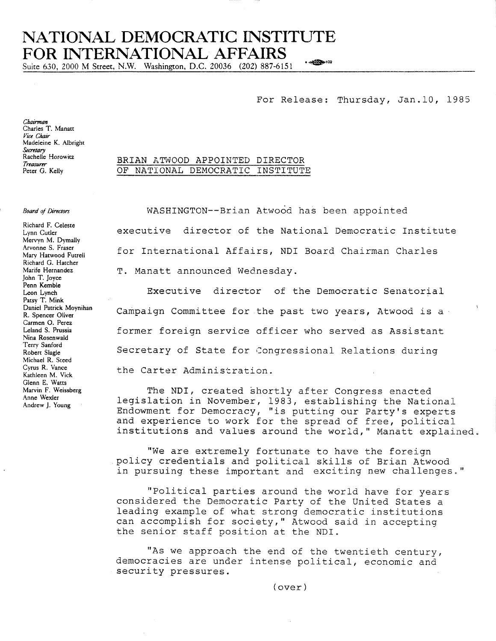## NATIONAL DEMOCRATIC INSTITUTE FOR INTERNATIONAL AFFAIRS  $\frac{1}{2}$  =  $\frac{1}{2}$

Suite 630, 2000 M Street, N.W. Washington, D.C. 20036 (202) 887-6151

## For Release: Thursday, Jan.10, 1985

Chairman Charles T. Manatt Vice Chair Madeleine K. Albright Secretary<br>Rachelle Horowitz Treasurer Peter G. Kelly

## **Board of Directors**

Richard F. Celeste Lynn Cutler Mervyn M. Dymally Arvonne S. Fraser Mary Hatwood Futrell Richard G. Hatcher Marife Hernandez John T. Joyce Penn Kemble Leon Lynch Patsy T. Mink Daniel Patrick Moynihan R. Spencer Oliver Carmen O. Perez Leland S. Prussia Nina Rosenwald Terry Sanford Robert Slagle Michael R. Steed Cyrus R. Vance Kathleen M. Vick Glenn E. Watts Marvin F. Weissberg Anne Wexler Andrew J. Young

WASHINGTON--Brian Atwood has been appointed executive director of the National Democratic Institute for International Affairs, NDI Board Chairman Charles

T. Manatt announced Wednesday.

BRIAN ATWOOD APPOINTED DIRECTOR

OF NATIONAL DEMOCRATIC INSTITUTE

Executive director of the Democratic Senatorial Campaign Committee for the past two years, Atwood is a former foreign service officer who served as Assistant Secretary of State for Congressional Relations during the Carter Administration.

The NDI, created shortly after Congress enacted legislation in November, 1983, establishing the National Endowment for Democracy, "is putting our Party's experts and experience to work for the spread of free, political institutions and values around the world," Manatt explained.

"We are extremely fortunate to have the foreign policy credentials and political skills of Brian Atwood in pursuing these important and exciting new challenges."

"Political parties around the world have for years considered the Democratic Party of the United States a leading example of what strong democratic institutions can accomplish for society," Atwood said in accepting the senior staff position at the NDI.

"As we approach the end of the twentieth century, democracies are under intense political, economic and security pressures.